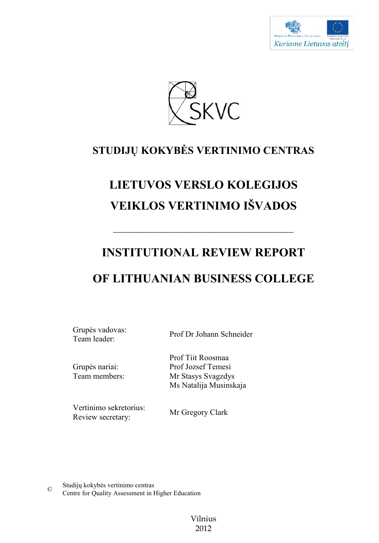



# **STUDIJŲ KOKYBĖS VERTINIMO CENTRAS**

# **LIETUVOS VERSLO KOLEGIJOS VEIKLOS VERTINIMO IŠVADOS**

# **INSTITUTIONAL REVIEW REPORT**

 $\frac{1}{\sqrt{2}}$ 

# **OF LITHUANIAN BUSINESS COLLEGE**

Grupės vadovas: Team leader: Prof Dr Johann Schneider

Grupės nariai: Team members: Prof Tiit Roosmaa Prof Jozsef Temesi

Vertinimo sekretorius: Review secretary:

Mr Gregory Clark

Mr Stasys Svagzdys Ms Natalija Musinskaja

Studijų kokybės vertinimo centras © Centre for Quality Assessment in Higher Education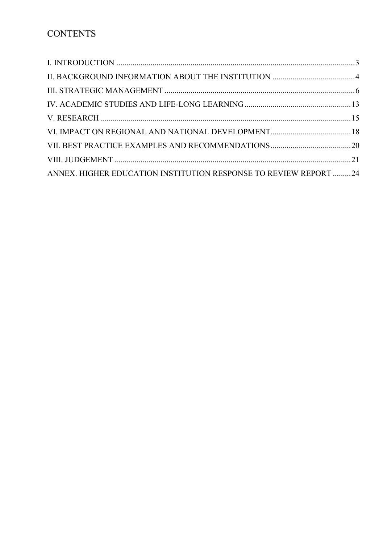| ANNEX. HIGHER EDUCATION INSTITUTION RESPONSE TO REVIEW REPORT 24 |  |
|------------------------------------------------------------------|--|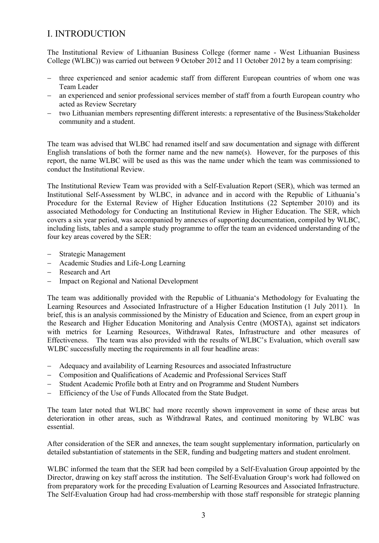## I. INTRODUCTION

The Institutional Review of Lithuanian Business College (former name - West Lithuanian Business College (WLBC)) was carried out between 9 October 2012 and 11 October 2012 by a team comprising:

- three experienced and senior academic staff from different European countries of whom one was Team Leader
- an experienced and senior professional services member of staff from a fourth European country who acted as Review Secretary
- two Lithuanian members representing different interests: a representative of the Business/Stakeholder community and a student.

The team was advised that WLBC had renamed itself and saw documentation and signage with different English translations of both the former name and the new name(s). However, for the purposes of this report, the name WLBC will be used as this was the name under which the team was commissioned to conduct the Institutional Review.

The Institutional Review Team was provided with a Self-Evaluation Report (SER), which was termed an Institutional Self-Assessment by WLBC, in advance and in accord with the Republic of Lithuania's Procedure for the External Review of Higher Education Institutions (22 September 2010) and its associated Methodology for Conducting an Institutional Review in Higher Education. The SER, which covers a six year period, was accompanied by annexes of supporting documentation, compiled by WLBC, including lists, tables and a sample study programme to offer the team an evidenced understanding of the four key areas covered by the SER:

- Strategic Management
- Academic Studies and Life-Long Learning
- Research and Art
- Impact on Regional and National Development

The team was additionally provided with the Republic of Lithuania's Methodology for Evaluating the Learning Resources and Associated Infrastructure of a Higher Education Institution (1 July 2011). In brief, this is an analysis commissioned by the Ministry of Education and Science, from an expert group in the Research and Higher Education Monitoring and Analysis Centre (MOSTA), against set indicators with metrics for Learning Resources, Withdrawal Rates, Infrastructure and other measures of Effectiveness. The team was also provided with the results of WLBC's Evaluation, which overall saw WLBC successfully meeting the requirements in all four headline areas:

- Adequacy and availability of Learning Resources and associated Infrastructure
- Composition and Qualifications of Academic and Professional Services Staff
- Student Academic Profile both at Entry and on Programme and Student Numbers
- Efficiency of the Use of Funds Allocated from the State Budget.

The team later noted that WLBC had more recently shown improvement in some of these areas but deterioration in other areas, such as Withdrawal Rates, and continued monitoring by WLBC was essential.

After consideration of the SER and annexes, the team sought supplementary information, particularly on detailed substantiation of statements in the SER, funding and budgeting matters and student enrolment.

WLBC informed the team that the SER had been compiled by a Self-Evaluation Group appointed by the Director, drawing on key staff across the institution. The Self-Evaluation Group's work had followed on from preparatory work for the preceding Evaluation of Learning Resources and Associated Infrastructure. The Self-Evaluation Group had had cross-membership with those staff responsible for strategic planning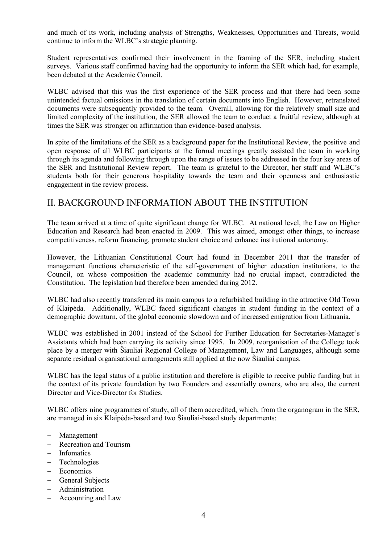and much of its work, including analysis of Strengths, Weaknesses, Opportunities and Threats, would continue to inform the WLBC's strategic planning.

Student representatives confirmed their involvement in the framing of the SER, including student surveys. Various staff confirmed having had the opportunity to inform the SER which had, for example, been debated at the Academic Council.

WLBC advised that this was the first experience of the SER process and that there had been some unintended factual omissions in the translation of certain documents into English. However, retranslated documents were subsequently provided to the team. Overall, allowing for the relatively small size and limited complexity of the institution, the SER allowed the team to conduct a fruitful review, although at times the SER was stronger on affirmation than evidence-based analysis.

In spite of the limitations of the SER as a background paper for the Institutional Review, the positive and open response of all WLBC participants at the formal meetings greatly assisted the team in working through its agenda and following through upon the range of issues to be addressed in the four key areas of the SER and Institutional Review report. The team is grateful to the Director, her staff and WLBC's students both for their generous hospitality towards the team and their openness and enthusiastic engagement in the review process.

#### II. BACKGROUND INFORMATION ABOUT THE INSTITUTION

The team arrived at a time of quite significant change for WLBC. At national level, the Law on Higher Education and Research had been enacted in 2009. This was aimed, amongst other things, to increase competitiveness, reform financing, promote student choice and enhance institutional autonomy.

However, the Lithuanian Constitutional Court had found in December 2011 that the transfer of management functions characteristic of the self-government of higher education institutions, to the Council, on whose composition the academic community had no crucial impact, contradicted the Constitution. The legislation had therefore been amended during 2012.

WLBC had also recently transferred its main campus to a refurbished building in the attractive Old Town of Klaipėda. Additionally, WLBC faced significant changes in student funding in the context of a demographic downturn, of the global economic slowdown and of increased emigration from Lithuania.

WLBC was established in 2001 instead of the School for Further Education for Secretaries-Manager's Assistants which had been carrying its activity since 1995. In 2009, reorganisation of the College took place by a merger with Šiauliai Regional College of Management, Law and Languages, although some separate residual organisational arrangements still applied at the now Šiauliai campus.

WLBC has the legal status of a public institution and therefore is eligible to receive public funding but in the context of its private foundation by two Founders and essentially owners, who are also, the current Director and Vice-Director for Studies.

WLBC offers nine programmes of study, all of them accredited, which, from the organogram in the SER, are managed in six Klaipėda-based and two Šiauliai-based study departments:

- Management
- Recreation and Tourism
- Infomatics
- Technologies
- Economics
- General Subjects
- Administration
- Accounting and Law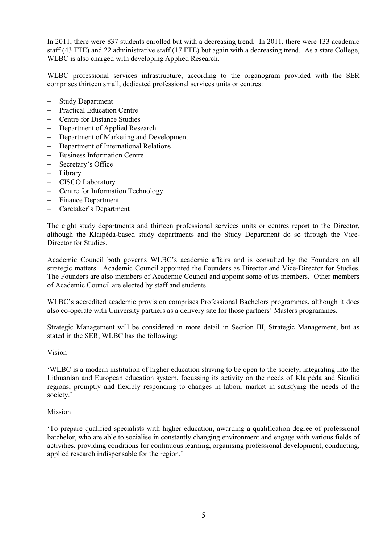In 2011, there were 837 students enrolled but with a decreasing trend. In 2011, there were 133 academic staff (43 FTE) and 22 administrative staff (17 FTE) but again with a decreasing trend. As a state College, WLBC is also charged with developing Applied Research.

WLBC professional services infrastructure, according to the organogram provided with the SER comprises thirteen small, dedicated professional services units or centres:

- Study Department
- Practical Education Centre
- Centre for Distance Studies
- Department of Applied Research
- Department of Marketing and Development
- Department of International Relations
- Business Information Centre
- Secretary's Office
- Library
- CISCO Laboratory
- Centre for Information Technology
- Finance Department
- Caretaker's Department

The eight study departments and thirteen professional services units or centres report to the Director, although the Klaipėda-based study departments and the Study Department do so through the Vice-Director for Studies.

Academic Council both governs WLBC's academic affairs and is consulted by the Founders on all strategic matters. Academic Council appointed the Founders as Director and Vice-Director for Studies. The Founders are also members of Academic Council and appoint some of its members. Other members of Academic Council are elected by staff and students.

WLBC's accredited academic provision comprises Professional Bachelors programmes, although it does also co-operate with University partners as a delivery site for those partners' Masters programmes.

Strategic Management will be considered in more detail in Section III, Strategic Management, but as stated in the SER, WLBC has the following:

#### Vision

'WLBC is a modern institution of higher education striving to be open to the society, integrating into the Lithuanian and European education system, focussing its activity on the needs of Klaipėda and Šiauliai regions, promptly and flexibly responding to changes in labour market in satisfying the needs of the society.'

#### Mission

'To prepare qualified specialists with higher education, awarding a qualification degree of professional batchelor, who are able to socialise in constantly changing environment and engage with various fields of activities, providing conditions for continuous learning, organising professional development, conducting, applied research indispensable for the region.'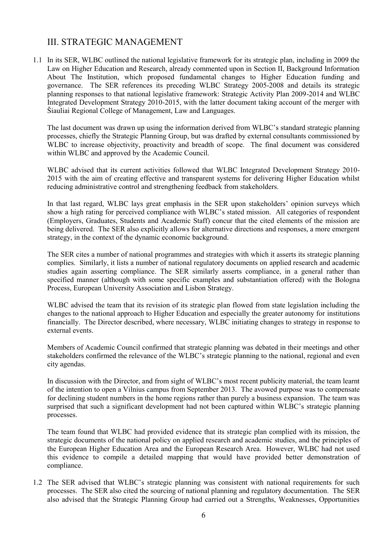### III. STRATEGIC MANAGEMENT

1.1 In its SER, WLBC outlined the national legislative framework for its strategic plan, including in 2009 the Law on Higher Education and Research, already commented upon in Section II, Background Information About The Institution, which proposed fundamental changes to Higher Education funding and governance. The SER references its preceding WLBC Strategy 2005-2008 and details its strategic planning responses to that national legislative framework: Strategic Activity Plan 2009-2014 and WLBC Integrated Development Strategy 2010-2015, with the latter document taking account of the merger with Šiauliai Regional College of Management, Law and Languages.

The last document was drawn up using the information derived from WLBC's standard strategic planning processes, chiefly the Strategic Planning Group, but was drafted by external consultants commissioned by WLBC to increase objectivity, proactivity and breadth of scope. The final document was considered within WLBC and approved by the Academic Council.

WLBC advised that its current activities followed that WLBC Integrated Development Strategy 2010- 2015 with the aim of creating effective and transparent systems for delivering Higher Education whilst reducing administrative control and strengthening feedback from stakeholders.

In that last regard, WLBC lays great emphasis in the SER upon stakeholders' opinion surveys which show a high rating for perceived compliance with WLBC's stated mission. All categories of respondent (Employers, Graduates, Students and Academic Staff) concur that the cited elements of the mission are being delivered. The SER also explicitly allows for alternative directions and responses, a more emergent strategy, in the context of the dynamic economic background.

The SER cites a number of national programmes and strategies with which it asserts its strategic planning complies. Similarly, it lists a number of national regulatory documents on applied research and academic studies again asserting compliance. The SER similarly asserts compliance, in a general rather than specified manner (although with some specific examples and substantiation offered) with the Bologna Process, European University Association and Lisbon Strategy.

WLBC advised the team that its revision of its strategic plan flowed from state legislation including the changes to the national approach to Higher Education and especially the greater autonomy for institutions financially. The Director described, where necessary, WLBC initiating changes to strategy in response to external events.

Members of Academic Council confirmed that strategic planning was debated in their meetings and other stakeholders confirmed the relevance of the WLBC's strategic planning to the national, regional and even city agendas.

In discussion with the Director, and from sight of WLBC's most recent publicity material, the team learnt of the intention to open a Vilnius campus from September 2013. The avowed purpose was to compensate for declining student numbers in the home regions rather than purely a business expansion. The team was surprised that such a significant development had not been captured within WLBC's strategic planning processes.

The team found that WLBC had provided evidence that its strategic plan complied with its mission, the strategic documents of the national policy on applied research and academic studies, and the principles of the European Higher Education Area and the European Research Area. However, WLBC had not used this evidence to compile a detailed mapping that would have provided better demonstration of compliance.

1.2 The SER advised that WLBC's strategic planning was consistent with national requirements for such processes. The SER also cited the sourcing of national planning and regulatory documentation. The SER also advised that the Strategic Planning Group had carried out a Strengths, Weaknesses, Opportunities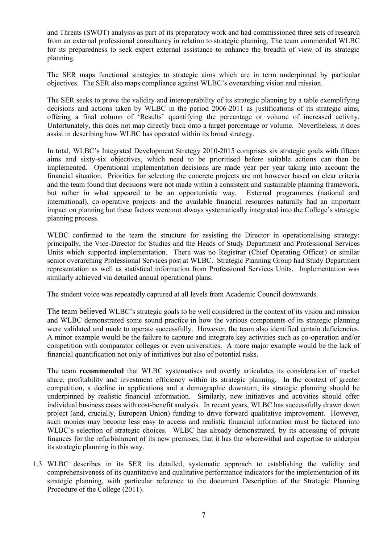and Threats (SWOT) analysis as part of its preparatory work and had commissioned three sets of research from an external professional consultancy in relation to strategic planning. The team commended WLBC for its preparedness to seek expert external assistance to enhance the breadth of view of its strategic planning.

The SER maps functional strategies to strategic aims which are in term underpinned by particular objectives. The SER also maps compliance against WLBC's overarching vision and mission.

The SER seeks to prove the validity and interoperability of its strategic planning by a table exemplifying decisions and actions taken by WLBC in the period 2006-2011 as justifications of its strategic aims, offering a final column of 'Results' quantifying the percentage or volume of increased activity. Unfortunately, this does not map directly back onto a target percentage or volume. Nevertheless, it does assist in describing how WLBC has operated within its broad strategy.

In total, WLBC's Integrated Development Strategy 2010-2015 comprises six strategic goals with fifteen aims and sixty-six objectives, which need to be prioritised before suitable actions can then be implemented. Operational implementation decisions are made year per year taking into account the financial situation. Priorities for selecting the concrete projects are not however based on clear criteria and the team found that decisions were not made within a consistent and sustainable planning framework, but rather in what appeared to be an opportunistic way. External programmes (national and but rather in what appeared to be an opportunistic way. international), co-operative projects and the available financial resources naturally had an important impact on planning but these factors were not always systematically integrated into the College's strategic planning process.

WLBC confirmed to the team the structure for assisting the Director in operationalising strategy: principally, the Vice-Director for Studies and the Heads of Study Department and Professional Services Units which supported implementation. There was no Registrar (Chief Operating Officer) or similar senior overarching Professional Services post at WLBC. Strategic Planning Group had Study Department representation as well as statistical information from Professional Services Units. Implementation was similarly achieved via detailed annual operational plans.

The student voice was repeatedly captured at all levels from Academic Council downwards.

The team believed WLBC's strategic goals to be well considered in the context of its vision and mission and WLBC demonstrated some sound practice in how the various components of its strategic planning were validated and made to operate successfully. However, the team also identified certain deficiencies. A minor example would be the failure to capture and integrate key activities such as co-operation and/or competition with comparator colleges or even universities. A more major example would be the lack of financial quantification not only of initiatives but also of potential risks.

The team **recommended** that WLBC systematises and overtly articulates its consideration of market share, profitability and investment efficiency within its strategic planning. In the context of greater competition, a decline in applications and a demographic downturn, its strategic planning should be underpinned by realistic financial information. Similarly, new initiatives and activities should offer individual business cases with cost-benefit analysis. In recent years, WLBC has successfully drawn down project (and, crucially, European Union) funding to drive forward qualitative improvement. However, such monies may become less easy to access and realistic financial information must be factored into WLBC's selection of strategic choices. WLBC has already demonstrated, by its accessing of private finances for the refurbishment of its new premises, that it has the wherewithal and expertise to underpin its strategic planning in this way.

1.3 WLBC describes in its SER its detailed, systematic approach to establishing the validity and comprehensiveness of its quantitative and qualitative performance indicators for the implementation of its strategic planning, with particular reference to the document Description of the Strategic Planning Procedure of the College (2011).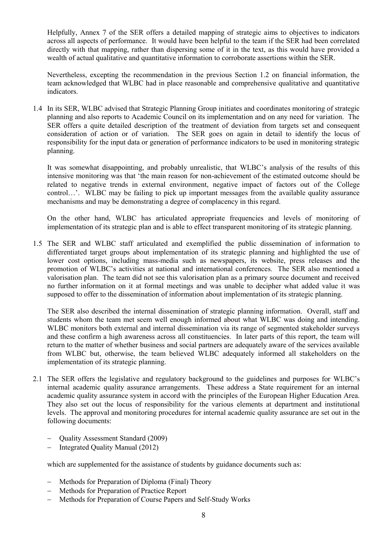Helpfully, Annex 7 of the SER offers a detailed mapping of strategic aims to objectives to indicators across all aspects of performance. It would have been helpful to the team if the SER had been correlated directly with that mapping, rather than dispersing some of it in the text, as this would have provided a wealth of actual qualitative and quantitative information to corroborate assertions within the SER.

Nevertheless, excepting the recommendation in the previous Section 1.2 on financial information, the team acknowledged that WLBC had in place reasonable and comprehensive qualitative and quantitative indicators.

1.4 In its SER, WLBC advised that Strategic Planning Group initiates and coordinates monitoring of strategic planning and also reports to Academic Council on its implementation and on any need for variation. The SER offers a quite detailed description of the treatment of deviation from targets set and consequent consideration of action or of variation. The SER goes on again in detail to identify the locus of responsibility for the input data or generation of performance indicators to be used in monitoring strategic planning.

It was somewhat disappointing, and probably unrealistic, that WLBC's analysis of the results of this intensive monitoring was that 'the main reason for non-achievement of the estimated outcome should be related to negative trends in external environment, negative impact of factors out of the College control…'. WLBC may be failing to pick up important messages from the available quality assurance mechanisms and may be demonstrating a degree of complacency in this regard.

On the other hand, WLBC has articulated appropriate frequencies and levels of monitoring of implementation of its strategic plan and is able to effect transparent monitoring of its strategic planning.

1.5 The SER and WLBC staff articulated and exemplified the public dissemination of information to differentiated target groups about implementation of its strategic planning and highlighted the use of lower cost options, including mass-media such as newspapers, its website, press releases and the promotion of WLBC's activities at national and international conferences. The SER also mentioned a valorisation plan. The team did not see this valorisation plan as a primary source document and received no further information on it at formal meetings and was unable to decipher what added value it was supposed to offer to the dissemination of information about implementation of its strategic planning.

The SER also described the internal dissemination of strategic planning information. Overall, staff and students whom the team met seem well enough informed about what WLBC was doing and intending. WLBC monitors both external and internal dissemination via its range of segmented stakeholder surveys and these confirm a high awareness across all constituencies. In later parts of this report, the team will return to the matter of whether business and social partners are adequately aware of the services available from WLBC but, otherwise, the team believed WLBC adequately informed all stakeholders on the implementation of its strategic planning.

- 2.1 The SER offers the legislative and regulatory background to the guidelines and purposes for WLBC's internal academic quality assurance arrangements. These address a State requirement for an internal academic quality assurance system in accord with the principles of the European Higher Education Area. They also set out the locus of responsibility for the various elements at department and institutional levels. The approval and monitoring procedures for internal academic quality assurance are set out in the following documents:
	- Quality Assessment Standard (2009)
	- Integrated Quality Manual (2012)

which are supplemented for the assistance of students by guidance documents such as:

- Methods for Preparation of Diploma (Final) Theory
- Methods for Preparation of Practice Report
- Methods for Preparation of Course Papers and Self-Study Works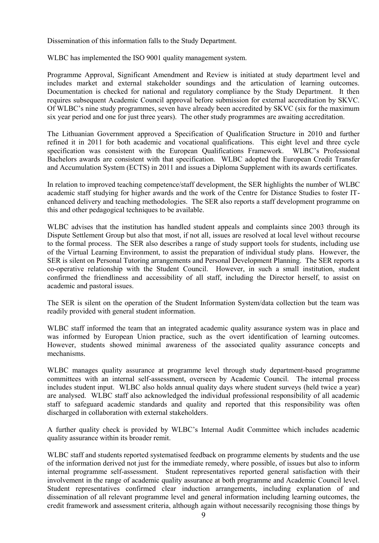Dissemination of this information falls to the Study Department.

WLBC has implemented the ISO 9001 quality management system.

Programme Approval, Significant Amendment and Review is initiated at study department level and includes market and external stakeholder soundings and the articulation of learning outcomes. Documentation is checked for national and regulatory compliance by the Study Department. It then requires subsequent Academic Council approval before submission for external accreditation by SKVC. Of WLBC's nine study programmes, seven have already been accredited by SKVC (six for the maximum six year period and one for just three years). The other study programmes are awaiting accreditation.

The Lithuanian Government approved a Specification of Qualification Structure in 2010 and further refined it in 2011 for both academic and vocational qualifications. This eight level and three cycle specification was consistent with the European Qualifications Framework. WLBC's Professional Bachelors awards are consistent with that specification. WLBC adopted the European Credit Transfer and Accumulation System (ECTS) in 2011 and issues a Diploma Supplement with its awards certificates.

In relation to improved teaching competence/staff development, the SER highlights the number of WLBC academic staff studying for higher awards and the work of the Centre for Distance Studies to foster ITenhanced delivery and teaching methodologies. The SER also reports a staff development programme on this and other pedagogical techniques to be available.

WLBC advises that the institution has handled student appeals and complaints since 2003 through its Dispute Settlement Group but also that most, if not all, issues are resolved at local level without recourse to the formal process. The SER also describes a range of study support tools for students, including use of the Virtual Learning Environment, to assist the preparation of individual study plans. However, the SER is silent on Personal Tutoring arrangements and Personal Development Planning. The SER reports a co-operative relationship with the Student Council. However, in such a small institution, student confirmed the friendliness and accessibility of all staff, including the Director herself, to assist on academic and pastoral issues.

The SER is silent on the operation of the Student Information System/data collection but the team was readily provided with general student information.

WLBC staff informed the team that an integrated academic quality assurance system was in place and was informed by European Union practice, such as the overt identification of learning outcomes. However, students showed minimal awareness of the associated quality assurance concepts and mechanisms.

WLBC manages quality assurance at programme level through study department-based programme committees with an internal self-assessment, overseen by Academic Council. The internal process includes student input. WLBC also holds annual quality days where student surveys (held twice a year) are analysed. WLBC staff also acknowledged the individual professional responsibility of all academic staff to safeguard academic standards and quality and reported that this responsibility was often discharged in collaboration with external stakeholders.

A further quality check is provided by WLBC's Internal Audit Committee which includes academic quality assurance within its broader remit.

WLBC staff and students reported systematised feedback on programme elements by students and the use of the information derived not just for the immediate remedy, where possible, of issues but also to inform internal programme self-assessment. Student representatives reported general satisfaction with their involvement in the range of academic quality assurance at both programme and Academic Council level. Student representatives confirmed clear induction arrangements, including explanation of and dissemination of all relevant programme level and general information including learning outcomes, the credit framework and assessment criteria, although again without necessarily recognising those things by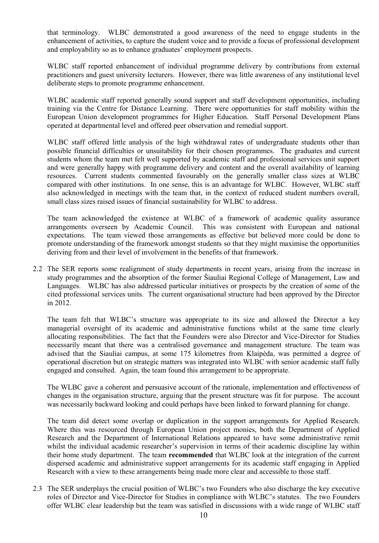that terminology. WLBC demonstrated a good awareness of the need to engage students in the enhancement of activities, to capture the student voice and to provide a focus of professional development and employability so as to enhance graduates' employment prospects.

WLBC staff reported enhancement of individual programme delivery by contributions from external practitioners and guest university lecturers. However, there was little awareness of any institutional level deliberate steps to promote programme enhancement.

WLBC academic staff reported generally sound support and staff development opportunities, including training via the Centre for Distance Learning. There were opportunities for staff mobility within the European Union development programmes for Higher Education. Staff Personal Development Plans operated at departmental level and offered peer observation and remedial support.

WLBC staff offered little analysis of the high withdrawal rates of undergraduate students other than possible financial difficulties or unsuitability for their chosen programmes. The graduates and current students whom the team met felt well supported by academic staff and professional services unit support and were generally happy with programme delivery and content and the overall availability of learning resources. Current students commented favourably on the generally smaller class sizes at WLBC compared with other institutions. In one sense, this is an advantage for WLBC. However, WLBC staff also acknowledged in meetings with the team that, in the context of reduced student numbers overall, small class sizes raised issues of financial sustainability for WLBC to address.

The team acknowledged the existence at WLBC of a framework of academic quality assurance arrangements overseen by Academic Council. This was consistent with European and national expectations. The team viewed those arrangements as effective but believed more could be done to promote understanding of the framework amongst students so that they might maximise the opportunities deriving from and their level of involvement in the benefits of that framework.

2.2 The SER reports some realignment of study departments in recent years, arising from the increase in study programmes and the absorption of the former Šiauliai Regional College of Management, Law and Languages. WLBC has also addressed particular initiatives or prospects by the creation of some of the cited professional services units. The current organisational structure had been approved by the Director in 2012.

The team felt that WLBC's structure was appropriate to its size and allowed the Director a key managerial oversight of its academic and administrative functions whilst at the same time clearly allocating responsibilities. The fact that the Founders were also Director and Vice-Director for Studies necessarily meant that there was a centralised governance and management structure. The team was advised that the Siauliai campus, at some 175 kilometres from Klaipėda, was permitted a degree of operational discretion but on strategic matters was integrated into WLBC with senior academic staff fully engaged and consulted. Again, the team found this arrangement to be appropriate.

The WLBC gave a coherent and persuasive account of the rationale, implementation and effectiveness of changes in the organisation structure, arguing that the present structure was fit for purpose. The account was necessarily backward looking and could perhaps have been linked to forward planning for change.

The team did detect some overlap or duplication in the support arrangements for Applied Research. Where this was resourced through European Union project monies, both the Department of Applied Research and the Department of International Relations appeared to have some administrative remit whilst the individual academic researcher's supervision in terms of their academic discipline lay within their home study department. The team **recommended** that WLBC look at the integration of the current dispersed academic and administrative support arrangements for its academic staff engaging in Applied Research with a view to these arrangements being made more clear and accessible to those staff.

2.3 The SER underplays the crucial position of WLBC's two Founders who also discharge the key executive roles of Director and Vice-Director for Studies in compliance with WLBC's statutes. The two Founders offer WLBC clear leadership but the team was satisfied in discussions with a wide range of WLBC staff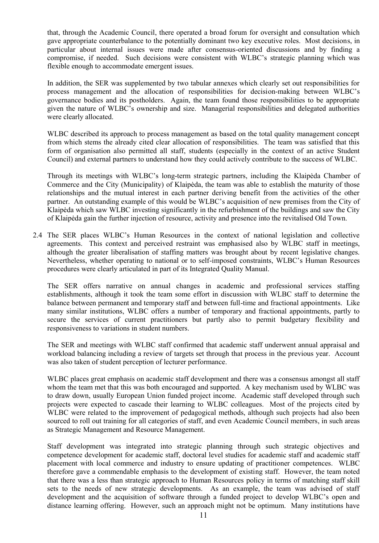that, through the Academic Council, there operated a broad forum for oversight and consultation which gave appropriate counterbalance to the potentially dominant two key executive roles. Most decisions, in particular about internal issues were made after consensus-oriented discussions and by finding a compromise, if needed. Such decisions were consistent with WLBC's strategic planning which was flexible enough to accommodate emergent issues.

In addition, the SER was supplemented by two tabular annexes which clearly set out responsibilities for process management and the allocation of responsibilities for decision-making between WLBC's governance bodies and its postholders. Again, the team found those responsibilities to be appropriate given the nature of WLBC's ownership and size. Managerial responsibilities and delegated authorities were clearly allocated.

WLBC described its approach to process management as based on the total quality management concept from which stems the already cited clear allocation of responsibilities. The team was satisfied that this form of organisation also permitted all staff, students (especially in the context of an active Student Council) and external partners to understand how they could actively contribute to the success of WLBC.

Through its meetings with WLBC's long-term strategic partners, including the Klaipėda Chamber of Commerce and the City (Municipality) of Klaipėda, the team was able to establish the maturity of those relationships and the mutual interest in each partner deriving benefit from the activities of the other partner. An outstanding example of this would be WLBC's acquisition of new premises from the City of Klaipėda which saw WLBC investing significantly in the refurbishment of the buildings and saw the City of Klaipėda gain the further injection of resource, activity and presence into the revitalised Old Town.

2.4 The SER places WLBC's Human Resources in the context of national legislation and collective agreements. This context and perceived restraint was emphasised also by WLBC staff in meetings, although the greater liberalisation of staffing matters was brought about by recent legislative changes. Nevertheless, whether operating to national or to self-imposed constraints, WLBC's Human Resources procedures were clearly articulated in part of its Integrated Quality Manual.

The SER offers narrative on annual changes in academic and professional services staffing establishments, although it took the team some effort in discussion with WLBC staff to determine the balance between permanent and temporary staff and between full-time and fractional appointments. Like many similar institutions, WLBC offers a number of temporary and fractional appointments, partly to secure the services of current practitioners but partly also to permit budgetary flexibility and responsiveness to variations in student numbers.

The SER and meetings with WLBC staff confirmed that academic staff underwent annual appraisal and workload balancing including a review of targets set through that process in the previous year. Account was also taken of student perception of lecturer performance.

WLBC places great emphasis on academic staff development and there was a consensus amongst all staff whom the team met that this was both encouraged and supported. A key mechanism used by WLBC was to draw down, usually European Union funded project income. Academic staff developed through such projects were expected to cascade their learning to WLBC colleagues. Most of the projects cited by WLBC were related to the improvement of pedagogical methods, although such projects had also been sourced to roll out training for all categories of staff, and even Academic Council members, in such areas as Strategic Management and Resource Management.

Staff development was integrated into strategic planning through such strategic objectives and competence development for academic staff, doctoral level studies for academic staff and academic staff placement with local commerce and industry to ensure updating of practitioner competences. WLBC therefore gave a commendable emphasis to the development of existing staff. However, the team noted that there was a less than strategic approach to Human Resources policy in terms of matching staff skill sets to the needs of new strategic developments. As an example, the team was advised of staff development and the acquisition of software through a funded project to develop WLBC's open and distance learning offering. However, such an approach might not be optimum. Many institutions have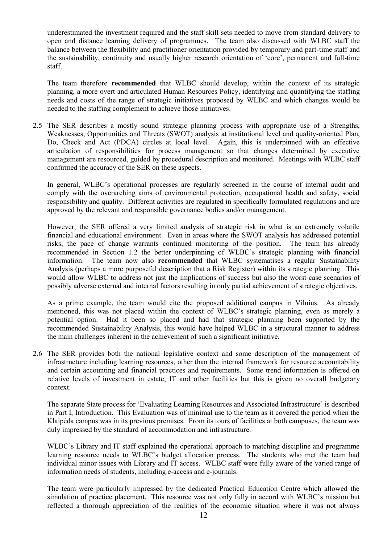underestimated the investment required and the staff skill sets needed to move from standard delivery to open and distance learning delivery of programmes. The team also discussed with WLBC staff the balance between the flexibility and practitioner orientation provided by temporary and part-time staff and the sustainability, continuity and usually higher research orientation of 'core', permanent and full-time staff.

The team therefore **recommended** that WLBC should develop, within the context of its strategic planning, a more overt and articulated Human Resources Policy, identifying and quantifying the staffing needs and costs of the range of strategic initiatives proposed by WLBC and which changes would be needed to the staffing complement to achieve those initiatives.

2.5 The SER describes a mostly sound strategic planning process with appropriate use of a Strengths, Weaknesses, Opportunities and Threats (SWOT) analysis at institutional level and quality-oriented Plan, Do, Check and Act (PDCA) circles at local level. Again, this is underpinned with an effective articulation of responsibilities for process management so that changes determined by executive management are resourced, guided by procedural description and monitored. Meetings with WLBC staff confirmed the accuracy of the SER on these aspects.

In general, WLBC's operational processes are regularly screened in the course of internal audit and comply with the overarching aims of environmental protection, occupational health and safety, social responsibility and quality. Different activities are regulated in specifically formulated regulations and are approved by the relevant and responsible governance bodies and/or management.

However, the SER offered a very limited analysis of strategic risk in what is an extremely volatile financial and educational environment. Even in areas where the SWOT analysis has addressed potential risks, the pace of change warrants continued monitoring of the position. The team has already recommended in Section 1.2 the better underpinning of WLBC's strategic planning with financial information. The team now also **recommended** that WLBC systematises a regular Sustainability Analysis (perhaps a more purposeful description that a Risk Register) within its strategic planning. This would allow WLBC to address not just the implications of success but also the worst case scenarios of possibly adverse external and internal factors resulting in only partial achievement of strategic objectives.

As a prime example, the team would cite the proposed additional campus in Vilnius. As already mentioned, this was not placed within the context of WLBC's strategic planning, even as merely a potential option. Had it been so placed and had that strategic planning been supported by the recommended Sustainability Analysis, this would have helped WLBC in a structural manner to address the main challenges inherent in the achievement of such a significant initiative.

2.6 The SER provides both the national legislative context and some description of the management of infrastructure including learning resources, other than the internal framework for resource accountability and certain accounting and financial practices and requirements. Some trend information is offered on relative levels of investment in estate, IT and other facilities but this is given no overall budgetary context.

The separate State process for 'Evaluating Learning Resources and Associated Infrastructure' is described in Part I, Introduction. This Evaluation was of minimal use to the team as it covered the period when the Klaipėda campus was in its previous premises. From its tours of facilities at both campuses, the team was duly impressed by the standard of accommodation and infrastructure.

WLBC's Library and IT staff explained the operational approach to matching discipline and programme learning resource needs to WLBC's budget allocation process. The students who met the team had individual minor issues with Library and IT access. WLBC staff were fully aware of the varied range of information needs of students, including e-access and e-journals.

The team were particularly impressed by the dedicated Practical Education Centre which allowed the simulation of practice placement. This resource was not only fully in accord with WLBC's mission but reflected a thorough appreciation of the realities of the economic situation where it was not always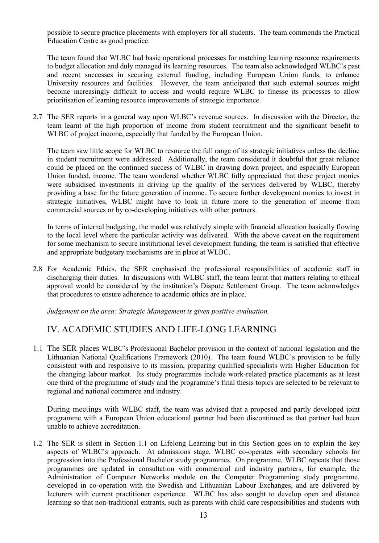possible to secure practice placements with employers for all students. The team commends the Practical Education Centre as good practice.

The team found that WLBC had basic operational processes for matching learning resource requirements to budget allocation and duly managed its learning resources. The team also acknowledged WLBC's past and recent successes in securing external funding, including European Union funds, to enhance University resources and facilities. However, the team anticipated that such external sources might become increasingly difficult to access and would require WLBC to finesse its processes to allow prioritisation of learning resource improvements of strategic importance.

2.7 The SER reports in a general way upon WLBC's revenue sources. In discussion with the Director, the team learnt of the high proportion of income from student recruitment and the significant benefit to WLBC of project income, especially that funded by the European Union.

The team saw little scope for WLBC to resource the full range of its strategic initiatives unless the decline in student recruitment were addressed. Additionally, the team considered it doubtful that great reliance could be placed on the continued success of WLBC in drawing down project, and especially European Union funded, income. The team wondered whether WLBC fully appreciated that these project monies were subsidised investments in driving up the quality of the services delivered by WLBC, thereby providing a base for the future generation of income. To secure further development monies to invest in strategic initiatives, WLBC might have to look in future more to the generation of income from commercial sources or by co-developing initiatives with other partners.

In terms of internal budgeting, the model was relatively simple with financial allocation basically flowing to the local level where the particular activity was delivered. With the above caveat on the requirement for some mechanism to secure institutional level development funding, the team is satisfied that effective and appropriate budgetary mechanisms are in place at WLBC.

2.8 For Academic Ethics, the SER emphasised the professional responsibilities of academic staff in discharging their duties. In discussions with WLBC staff, the team learnt that matters relating to ethical approval would be considered by the institution's Dispute Settlement Group. The team acknowledges that procedures to ensure adherence to academic ethics are in place.

*Judgement on the area: Strategic Management is given positive evaluation.*

#### IV. ACADEMIC STUDIES AND LIFE-LONG LEARNING

1.1 The SER places WLBC's Professional Bachelor provision in the context of national legislation and the Lithuanian National Qualifications Framework (2010). The team found WLBC's provision to be fully consistent with and responsive to its mission, preparing qualified specialists with Higher Education for the changing labour market. Its study programmes include work-related practice placements as at least one third of the programme of study and the programme's final thesis topics are selected to be relevant to regional and national commerce and industry.

During meetings with WLBC staff, the team was advised that a proposed and partly developed joint programme with a European Union educational partner had been discontinued as that partner had been unable to achieve accreditation.

1.2 The SER is silent in Section 1.1 on Lifelong Learning but in this Section goes on to explain the key aspects of WLBC's approach. At admissions stage, WLBC co-operates with secondary schools for progression into the Professional Bachelor study programmes. On programme, WLBC repeats that those programmes are updated in consultation with commercial and industry partners, for example, the Administration of Computer Networks module on the Computer Programming study programme, developed in co-operation with the Swedish and Lithuanian Labour Exchanges, and are delivered by lecturers with current practitioner experience. WLBC has also sought to develop open and distance learning so that non-traditional entrants, such as parents with child care responsibilities and students with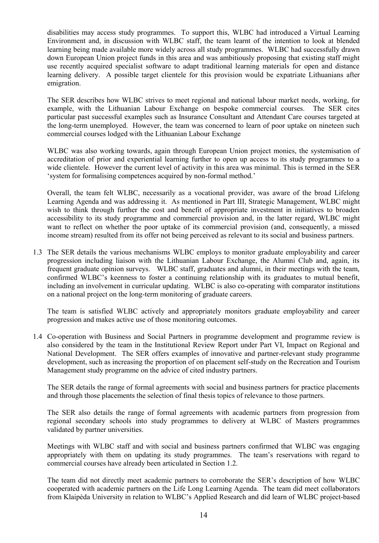disabilities may access study programmes. To support this, WLBC had introduced a Virtual Learning Environment and, in discussion with WLBC staff, the team learnt of the intention to look at blended learning being made available more widely across all study programmes. WLBC had successfully drawn down European Union project funds in this area and was ambitiously proposing that existing staff might use recently acquired specialist software to adapt traditional learning materials for open and distance learning delivery. A possible target clientele for this provision would be expatriate Lithuanians after emigration.

The SER describes how WLBC strives to meet regional and national labour market needs, working, for example, with the Lithuanian Labour Exchange on bespoke commercial courses. The SER cites particular past successful examples such as Insurance Consultant and Attendant Care courses targeted at the long-term unemployed. However, the team was concerned to learn of poor uptake on nineteen such commercial courses lodged with the Lithuanian Labour Exchange

WLBC was also working towards, again through European Union project monies, the systemisation of accreditation of prior and experiential learning further to open up access to its study programmes to a wide clientele. However the current level of activity in this area was minimal. This is termed in the SER 'system for formalising competences acquired by non-formal method.'

Overall, the team felt WLBC, necessarily as a vocational provider, was aware of the broad Lifelong Learning Agenda and was addressing it. As mentioned in Part III, Strategic Management, WLBC might wish to think through further the cost and benefit of appropriate investment in initiatives to broaden accessibility to its study programme and commercial provision and, in the latter regard, WLBC might want to reflect on whether the poor uptake of its commercial provision (and, consequently, a missed income stream) resulted from its offer not being perceived as relevant to its social and business partners.

1.3 The SER details the various mechanisms WLBC employs to monitor graduate employability and career progression including liaison with the Lithuanian Labour Exchange, the Alumni Club and, again, its frequent graduate opinion surveys. WLBC staff, graduates and alumni, in their meetings with the team, confirmed WLBC's keenness to foster a continuing relationship with its graduates to mutual benefit, including an involvement in curricular updating. WLBC is also co-operating with comparator institutions on a national project on the long-term monitoring of graduate careers.

The team is satisfied WLBC actively and appropriately monitors graduate employability and career progression and makes active use of those monitoring outcomes.

1.4 Co-operation with Business and Social Partners in programme development and programme review is also considered by the team in the Institutional Review Report under Part VI, Impact on Regional and National Development. The SER offers examples of innovative and partner-relevant study programme development, such as increasing the proportion of on placement self-study on the Recreation and Tourism Management study programme on the advice of cited industry partners.

The SER details the range of formal agreements with social and business partners for practice placements and through those placements the selection of final thesis topics of relevance to those partners.

The SER also details the range of formal agreements with academic partners from progression from regional secondary schools into study programmes to delivery at WLBC of Masters programmes validated by partner universities.

Meetings with WLBC staff and with social and business partners confirmed that WLBC was engaging appropriately with them on updating its study programmes. The team's reservations with regard to commercial courses have already been articulated in Section 1.2.

The team did not directly meet academic partners to corroborate the SER's description of how WLBC cooperated with academic partners on the Life Long Learning Agenda. The team did meet collaborators from Klaipėda University in relation to WLBC's Applied Research and did learn of WLBC project-based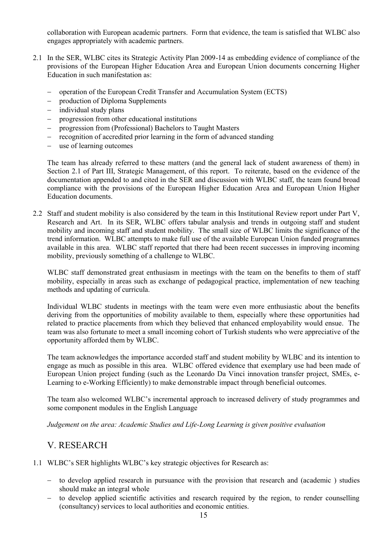collaboration with European academic partners. Form that evidence, the team is satisfied that WLBC also engages appropriately with academic partners.

- 2.1 In the SER, WLBC cites its Strategic Activity Plan 2009-14 as embedding evidence of compliance of the provisions of the European Higher Education Area and European Union documents concerning Higher Education in such manifestation as:
	- operation of the European Credit Transfer and Accumulation System (ECTS)
	- production of Diploma Supplements
	- $-$  individual study plans
	- progression from other educational institutions
	- progression from (Professional) Bachelors to Taught Masters
	- recognition of accredited prior learning in the form of advanced standing
	- use of learning outcomes

The team has already referred to these matters (and the general lack of student awareness of them) in Section 2.1 of Part III, Strategic Management, of this report. To reiterate, based on the evidence of the documentation appended to and cited in the SER and discussion with WLBC staff, the team found broad compliance with the provisions of the European Higher Education Area and European Union Higher Education documents.

2.2 Staff and student mobility is also considered by the team in this Institutional Review report under Part V, Research and Art. In its SER, WLBC offers tabular analysis and trends in outgoing staff and student mobility and incoming staff and student mobility. The small size of WLBC limits the significance of the trend information. WLBC attempts to make full use of the available European Union funded programmes available in this area. WLBC staff reported that there had been recent successes in improving incoming mobility, previously something of a challenge to WLBC.

WLBC staff demonstrated great enthusiasm in meetings with the team on the benefits to them of staff mobility, especially in areas such as exchange of pedagogical practice, implementation of new teaching methods and updating of curricula.

Individual WLBC students in meetings with the team were even more enthusiastic about the benefits deriving from the opportunities of mobility available to them, especially where these opportunities had related to practice placements from which they believed that enhanced employability would ensue. The team was also fortunate to meet a small incoming cohort of Turkish students who were appreciative of the opportunity afforded them by WLBC.

The team acknowledges the importance accorded staff and student mobility by WLBC and its intention to engage as much as possible in this area. WLBC offered evidence that exemplary use had been made of European Union project funding (such as the Leonardo Da Vinci innovation transfer project, SMEs, e-Learning to e-Working Efficiently) to make demonstrable impact through beneficial outcomes.

The team also welcomed WLBC's incremental approach to increased delivery of study programmes and some component modules in the English Language

*Judgement on the area: Academic Studies and Life-Long Learning is given positive evaluation*

#### V. RESEARCH

- 1.1 WLBC's SER highlights WLBC's key strategic objectives for Research as:
	- to develop applied research in pursuance with the provision that research and (academic) studies should make an integral whole
	- to develop applied scientific activities and research required by the region, to render counselling (consultancy) services to local authorities and economic entities.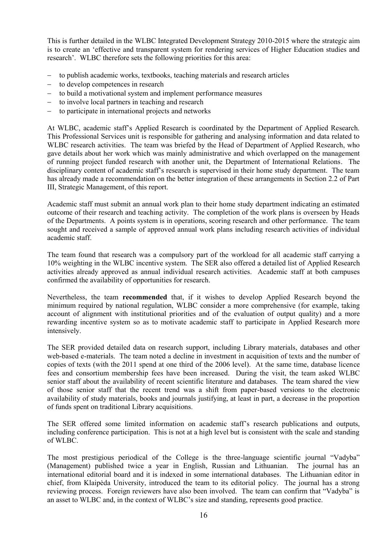This is further detailed in the WLBC Integrated Development Strategy 2010-2015 where the strategic aim is to create an 'effective and transparent system for rendering services of Higher Education studies and research'. WLBC therefore sets the following priorities for this area:

- to publish academic works, textbooks, teaching materials and research articles
- to develop competences in research
- to build a motivational system and implement performance measures
- to involve local partners in teaching and research
- to participate in international projects and networks

At WLBC, academic staff's Applied Research is coordinated by the Department of Applied Research. This Professional Services unit is responsible for gathering and analysing information and data related to WLBC research activities. The team was briefed by the Head of Department of Applied Research, who gave details about her work which was mainly administrative and which overlapped on the management of running project funded research with another unit, the Department of International Relations. The disciplinary content of academic staff's research is supervised in their home study department. The team has already made a recommendation on the better integration of these arrangements in Section 2.2 of Part III, Strategic Management, of this report.

Academic staff must submit an annual work plan to their home study department indicating an estimated outcome of their research and teaching activity. The completion of the work plans is overseen by Heads of the Departments. A points system is in operations, scoring research and other performance. The team sought and received a sample of approved annual work plans including research activities of individual academic staff.

The team found that research was a compulsory part of the workload for all academic staff carrying a 10% weighting in the WLBC incentive system. The SER also offered a detailed list of Applied Research activities already approved as annual individual research activities. Academic staff at both campuses confirmed the availability of opportunities for research.

Nevertheless, the team **recommended** that, if it wishes to develop Applied Research beyond the minimum required by national regulation, WLBC consider a more comprehensive (for example, taking account of alignment with institutional priorities and of the evaluation of output quality) and a more rewarding incentive system so as to motivate academic staff to participate in Applied Research more intensively.

The SER provided detailed data on research support, including Library materials, databases and other web-based e-materials. The team noted a decline in investment in acquisition of texts and the number of copies of texts (with the 2011 spend at one third of the 2006 level). At the same time, database licence fees and consortium membership fees have been increased. During the visit, the team asked WLBC senior staff about the availability of recent scientific literature and databases. The team shared the view of those senior staff that the recent trend was a shift from paper-based versions to the electronic availability of study materials, books and journals justifying, at least in part, a decrease in the proportion of funds spent on traditional Library acquisitions.

The SER offered some limited information on academic staff's research publications and outputs, including conference participation. This is not at a high level but is consistent with the scale and standing of WLBC.

The most prestigious periodical of the College is the three-language scientific journal "Vadyba" (Management) published twice a year in English, Russian and Lithuanian. The journal has an international editorial board and it is indexed in some international databases. The Lithuanian editor in chief, from Klaipėda University, introduced the team to its editorial policy. The journal has a strong reviewing process. Foreign reviewers have also been involved. The team can confirm that "Vadyba" is an asset to WLBC and, in the context of WLBC's size and standing, represents good practice.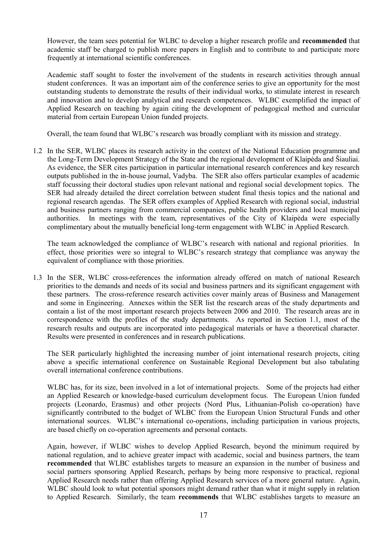However, the team sees potential for WLBC to develop a higher research profile and **recommended** that academic staff be charged to publish more papers in English and to contribute to and participate more frequently at international scientific conferences.

Academic staff sought to foster the involvement of the students in research activities through annual student conferences. It was an important aim of the conference series to give an opportunity for the most outstanding students to demonstrate the results of their individual works, to stimulate interest in research and innovation and to develop analytical and research competences. WLBC exemplified the impact of Applied Research on teaching by again citing the development of pedagogical method and curricular material from certain European Union funded projects.

Overall, the team found that WLBC's research was broadly compliant with its mission and strategy.

1.2 In the SER, WLBC places its research activity in the context of the National Education programme and the Long-Term Development Strategy of the State and the regional development of Klaipėda and Šiauliai. As evidence, the SER cites participation in particular international research conferences and key research outputs published in the in-house journal, Vadyba. The SER also offers particular examples of academic staff focussing their doctoral studies upon relevant national and regional social development topics. The SER had already detailed the direct correlation between student final thesis topics and the national and regional research agendas. The SER offers examples of Applied Research with regional social, industrial and business partners ranging from commercial companies, public health providers and local municipal authorities. In meetings with the team, representatives of the City of Klaipėda were especially complimentary about the mutually beneficial long-term engagement with WLBC in Applied Research.

The team acknowledged the compliance of WLBC's research with national and regional priorities. In effect, those priorities were so integral to WLBC's research strategy that compliance was anyway the equivalent of compliance with those priorities.

1.3 In the SER, WLBC cross-references the information already offered on match of national Research priorities to the demands and needs of its social and business partners and its significant engagement with these partners. The cross-reference research activities cover mainly areas of Business and Management and some in Engineering. Annexes within the SER list the research areas of the study departments and contain a list of the most important research projects between 2006 and 2010. The research areas are in correspondence with the profiles of the study departments. As reported in Section 1.1, most of the research results and outputs are incorporated into pedagogical materials or have a theoretical character. Results were presented in conferences and in research publications.

The SER particularly highlighted the increasing number of joint international research projects, citing above a specific international conference on Sustainable Regional Development but also tabulating overall international conference contributions.

WLBC has, for its size, been involved in a lot of international projects. Some of the projects had either an Applied Research or knowledge-based curriculum development focus. The European Union funded projects (Leonardo, Erasmus) and other projects (Nord Plus, Lithuanian-Polish co-operation) have significantly contributed to the budget of WLBC from the European Union Structural Funds and other international sources. WLBC's international co-operations, including participation in various projects, are based chiefly on co-operation agreements and personal contacts.

Again, however, if WLBC wishes to develop Applied Research, beyond the minimum required by national regulation, and to achieve greater impact with academic, social and business partners, the team **recommended** that WLBC establishes targets to measure an expansion in the number of business and social partners sponsoring Applied Research, perhaps by being more responsive to practical, regional Applied Research needs rather than offering Applied Research services of a more general nature. Again, WLBC should look to what potential sponsors might demand rather than what it might supply in relation to Applied Research. Similarly, the team **recommends** that WLBC establishes targets to measure an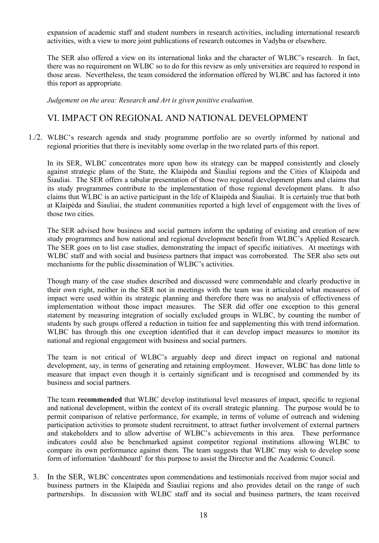expansion of academic staff and student numbers in research activities, including international research activities, with a view to more joint publications of research outcomes in Vadyba or elsewhere.

The SER also offered a view on its international links and the character of WLBC's research. In fact, there was no requirement on WLBC so to do for this review as only universities are required to respond in those areas. Nevertheless, the team considered the information offered by WLBC and has factored it into this report as appropriate.

*Judgement on the area: Research and Art is given positive evaluation.*

#### VI. IMPACT ON REGIONAL AND NATIONAL DEVELOPMENT

1./2. WLBC's research agenda and study programme portfolio are so overtly informed by national and regional priorities that there is inevitably some overlap in the two related parts of this report.

In its SER, WLBC concentrates more upon how its strategy can be mapped consistently and closely against strategic plans of the State, the Klaipėda and Šiauliai regions and the Cities of Klaipėda and Šiauliai. The SER offers a tabular presentation of those two regional development plans and claims that its study programmes contribute to the implementation of those regional development plans. It also claims that WLBC is an active participant in the life of Klaipėda and Šiauliai. It is certainly true that both at Klaipėda and Šiauliai, the student communities reported a high level of engagement with the lives of those two cities.

The SER advised how business and social partners inform the updating of existing and creation of new study programmes and how national and regional development benefit from WLBC's Applied Research. The SER goes on to list case studies, demonstrating the impact of specific initiatives. At meetings with WLBC staff and with social and business partners that impact was corroborated. The SER also sets out mechanisms for the public dissemination of WLBC's activities.

Though many of the case studies described and discussed were commendable and clearly productive in their own right, neither in the SER not in meetings with the team was it articulated what measures of impact were used within its strategic planning and therefore there was no analysis of effectiveness of implementation without those impact measures. The SER did offer one exception to this general statement by measuring integration of socially excluded groups in WLBC, by counting the number of students by such groups offered a reduction in tuition fee and supplementing this with trend information. WLBC has through this one exception identified that it can develop impact measures to monitor its national and regional engagement with business and social partners.

The team is not critical of WLBC's arguably deep and direct impact on regional and national development, say, in terms of generating and retaining employment. However, WLBC has done little to measure that impact even though it is certainly significant and is recognised and commended by its business and social partners.

The team **recommended** that WLBC develop institutional level measures of impact, specific to regional and national development, within the context of its overall strategic planning. The purpose would be to permit comparison of relative performance, for example, in terms of volume of outreach and widening participation activities to promote student recruitment, to attract further involvement of external partners and stakeholders and to allow advertise of WLBC's achievements in this area. These performance indicators could also be benchmarked against competitor regional institutions allowing WLBC to compare its own performance against them. The team suggests that WLBC may wish to develop some form of information 'dashboard' for this purpose to assist the Director and the Academic Council.

3. In the SER, WLBC concentrates upon commendations and testimonials received from major social and business partners in the Klaipėda and Šiauliai regions and also provides detail on the range of such partnerships. In discussion with WLBC staff and its social and business partners, the team received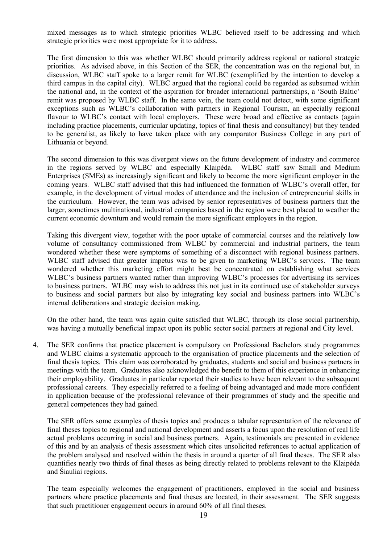mixed messages as to which strategic priorities WLBC believed itself to be addressing and which strategic priorities were most appropriate for it to address.

The first dimension to this was whether WLBC should primarily address regional or national strategic priorities. As advised above, in this Section of the SER, the concentration was on the regional but, in discussion, WLBC staff spoke to a larger remit for WLBC (exemplified by the intention to develop a third campus in the capital city). WLBC argued that the regional could be regarded as subsumed within the national and, in the context of the aspiration for broader international partnerships, a 'South Baltic' remit was proposed by WLBC staff. In the same vein, the team could not detect, with some significant exceptions such as WLBC's collaboration with partners in Regional Tourism, an especially regional flavour to WLBC's contact with local employers. These were broad and effective as contacts (again including practice placements, curricular updating, topics of final thesis and consultancy) but they tended to be generalist, as likely to have taken place with any comparator Business College in any part of Lithuania or beyond.

The second dimension to this was divergent views on the future development of industry and commerce in the regions served by WLBC and especially Klaipėda. WLBC staff saw Small and Medium Enterprises (SMEs) as increasingly significant and likely to become the more significant employer in the coming years. WLBC staff advised that this had influenced the formation of WLBC's overall offer, for example, in the development of virtual modes of attendance and the inclusion of entrepreneurial skills in the curriculum. However, the team was advised by senior representatives of business partners that the larger, sometimes multinational, industrial companies based in the region were best placed to weather the current economic downturn and would remain the more significant employers in the region.

Taking this divergent view, together with the poor uptake of commercial courses and the relatively low volume of consultancy commissioned from WLBC by commercial and industrial partners, the team wondered whether these were symptoms of something of a disconnect with regional business partners. WLBC staff advised that greater impetus was to be given to marketing WLBC's services. The team wondered whether this marketing effort might best be concentrated on establishing what services WLBC's business partners wanted rather than improving WLBC's processes for advertising its services to business partners. WLBC may wish to address this not just in its continued use of stakeholder surveys to business and social partners but also by integrating key social and business partners into WLBC's internal deliberations and strategic decision making.

On the other hand, the team was again quite satisfied that WLBC, through its close social partnership, was having a mutually beneficial impact upon its public sector social partners at regional and City level.

4. The SER confirms that practice placement is compulsory on Professional Bachelors study programmes and WLBC claims a systematic approach to the organisation of practice placements and the selection of final thesis topics. This claim was corroborated by graduates, students and social and business partners in meetings with the team. Graduates also acknowledged the benefit to them of this experience in enhancing their employability. Graduates in particular reported their studies to have been relevant to the subsequent professional careers. They especially referred to a feeling of being advantaged and made more confident in application because of the professional relevance of their programmes of study and the specific and general competences they had gained.

The SER offers some examples of thesis topics and produces a tabular representation of the relevance of final theses topics to regional and national development and asserts a focus upon the resolution of real life actual problems occurring in social and business partners. Again, testimonials are presented in evidence of this and by an analysis of thesis assessment which cites unsolicited references to actual application of the problem analysed and resolved within the thesis in around a quarter of all final theses. The SER also quantifies nearly two thirds of final theses as being directly related to problems relevant to the Klaipėda and Šiauliai regions.

The team especially welcomes the engagement of practitioners, employed in the social and business partners where practice placements and final theses are located, in their assessment. The SER suggests that such practitioner engagement occurs in around 60% of all final theses.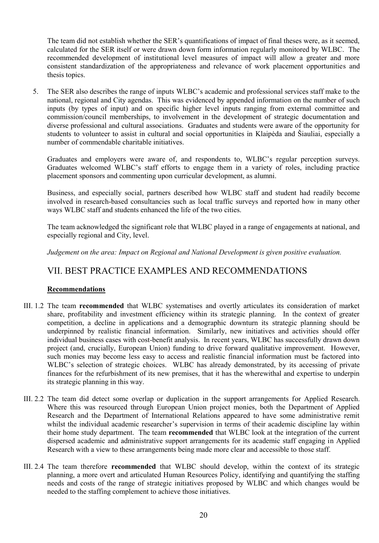The team did not establish whether the SER's quantifications of impact of final theses were, as it seemed, calculated for the SER itself or were drawn down form information regularly monitored by WLBC. The recommended development of institutional level measures of impact will allow a greater and more consistent standardization of the appropriateness and relevance of work placement opportunities and thesis topics.

5. The SER also describes the range of inputs WLBC's academic and professional services staff make to the national, regional and City agendas. This was evidenced by appended information on the number of such inputs (by types of input) and on specific higher level inputs ranging from external committee and commission/council memberships, to involvement in the development of strategic documentation and diverse professional and cultural associations. Graduates and students were aware of the opportunity for students to volunteer to assist in cultural and social opportunities in Klaipėda and Šiauliai, especially a number of commendable charitable initiatives.

Graduates and employers were aware of, and respondents to, WLBC's regular perception surveys. Graduates welcomed WLBC's staff efforts to engage them in a variety of roles, including practice placement sponsors and commenting upon curricular development, as alumni.

Business, and especially social, partners described how WLBC staff and student had readily become involved in research-based consultancies such as local traffic surveys and reported how in many other ways WLBC staff and students enhanced the life of the two cities.

The team acknowledged the significant role that WLBC played in a range of engagements at national, and especially regional and City, level.

*Judgement on the area: Impact on Regional and National Development is given positive evaluation.*

#### VII. BEST PRACTICE EXAMPLES AND RECOMMENDATIONS

#### **Recommendations**

- III. 1.2 The team **recommended** that WLBC systematises and overtly articulates its consideration of market share, profitability and investment efficiency within its strategic planning. In the context of greater competition, a decline in applications and a demographic downturn its strategic planning should be underpinned by realistic financial information. Similarly, new initiatives and activities should offer individual business cases with cost-benefit analysis. In recent years, WLBC has successfully drawn down project (and, crucially, European Union) funding to drive forward qualitative improvement. However, such monies may become less easy to access and realistic financial information must be factored into WLBC's selection of strategic choices. WLBC has already demonstrated, by its accessing of private finances for the refurbishment of its new premises, that it has the wherewithal and expertise to underpin its strategic planning in this way.
- III. 2.2 The team did detect some overlap or duplication in the support arrangements for Applied Research. Where this was resourced through European Union project monies, both the Department of Applied Research and the Department of International Relations appeared to have some administrative remit whilst the individual academic researcher's supervision in terms of their academic discipline lay within their home study department. The team **recommended** that WLBC look at the integration of the current dispersed academic and administrative support arrangements for its academic staff engaging in Applied Research with a view to these arrangements being made more clear and accessible to those staff.
- III. 2.4 The team therefore **recommended** that WLBC should develop, within the context of its strategic planning, a more overt and articulated Human Resources Policy, identifying and quantifying the staffing needs and costs of the range of strategic initiatives proposed by WLBC and which changes would be needed to the staffing complement to achieve those initiatives.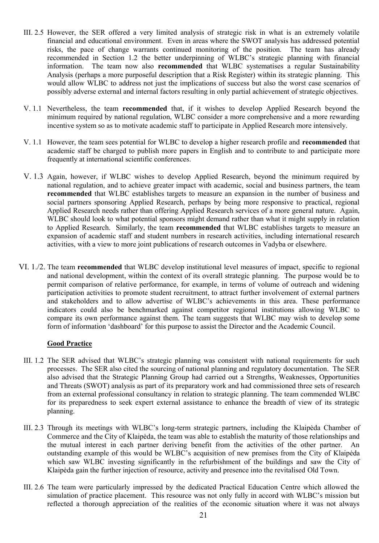- III. 2.5 However, the SER offered a very limited analysis of strategic risk in what is an extremely volatile financial and educational environment. Even in areas where the SWOT analysis has addressed potential risks, the pace of change warrants continued monitoring of the position. The team has already recommended in Section 1.2 the better underpinning of WLBC's strategic planning with financial information. The team now also **recommended** that WLBC systematises a regular Sustainability Analysis (perhaps a more purposeful description that a Risk Register) within its strategic planning. This would allow WLBC to address not just the implications of success but also the worst case scenarios of possibly adverse external and internal factors resulting in only partial achievement of strategic objectives.
- V. 1.1 Nevertheless, the team **recommended** that, if it wishes to develop Applied Research beyond the minimum required by national regulation, WLBC consider a more comprehensive and a more rewarding incentive system so as to motivate academic staff to participate in Applied Research more intensively.
- V. 1.1 However, the team sees potential for WLBC to develop a higher research profile and **recommended** that academic staff be charged to publish more papers in English and to contribute to and participate more frequently at international scientific conferences.
- V. 1.3 Again, however, if WLBC wishes to develop Applied Research, beyond the minimum required by national regulation, and to achieve greater impact with academic, social and business partners, the team **recommended** that WLBC establishes targets to measure an expansion in the number of business and social partners sponsoring Applied Research, perhaps by being more responsive to practical, regional Applied Research needs rather than offering Applied Research services of a more general nature. Again, WLBC should look to what potential sponsors might demand rather than what it might supply in relation to Applied Research. Similarly, the team **recommended** that WLBC establishes targets to measure an expansion of academic staff and student numbers in research activities, including international research activities, with a view to more joint publications of research outcomes in Vadyba or elsewhere.
- VI. 1./2. The team **recommended** that WLBC develop institutional level measures of impact, specific to regional and national development, within the context of its overall strategic planning. The purpose would be to permit comparison of relative performance, for example, in terms of volume of outreach and widening participation activities to promote student recruitment, to attract further involvement of external partners and stakeholders and to allow advertise of WLBC's achievements in this area. These performance indicators could also be benchmarked against competitor regional institutions allowing WLBC to compare its own performance against them. The team suggests that WLBC may wish to develop some form of information 'dashboard' for this purpose to assist the Director and the Academic Council.

#### **Good Practice**

- III. 1.2 The SER advised that WLBC's strategic planning was consistent with national requirements for such processes. The SER also cited the sourcing of national planning and regulatory documentation. The SER also advised that the Strategic Planning Group had carried out a Strengths, Weaknesses, Opportunities and Threats (SWOT) analysis as part of its preparatory work and had commissioned three sets of research from an external professional consultancy in relation to strategic planning. The team commended WLBC for its preparedness to seek expert external assistance to enhance the breadth of view of its strategic planning.
- III. 2.3 Through its meetings with WLBC's long-term strategic partners, including the Klaipėda Chamber of Commerce and the City of Klaipėda, the team was able to establish the maturity of those relationships and the mutual interest in each partner deriving benefit from the activities of the other partner. An outstanding example of this would be WLBC's acquisition of new premises from the City of Klaipėda which saw WLBC investing significantly in the refurbishment of the buildings and saw the City of Klaipėda gain the further injection of resource, activity and presence into the revitalised Old Town.
- III. 2.6 The team were particularly impressed by the dedicated Practical Education Centre which allowed the simulation of practice placement. This resource was not only fully in accord with WLBC's mission but reflected a thorough appreciation of the realities of the economic situation where it was not always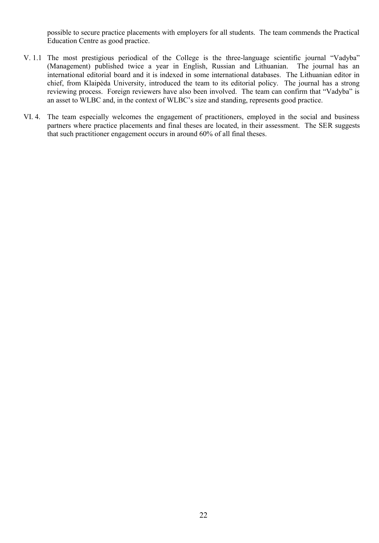possible to secure practice placements with employers for all students. The team commends the Practical Education Centre as good practice.

- V. 1.1 The most prestigious periodical of the College is the three-language scientific journal "Vadyba" (Management) published twice a year in English, Russian and Lithuanian. international editorial board and it is indexed in some international databases. The Lithuanian editor in chief, from Klaipėda University, introduced the team to its editorial policy. The journal has a strong reviewing process. Foreign reviewers have also been involved. The team can confirm that "Vadyba" is an asset to WLBC and, in the context of WLBC's size and standing, represents good practice.
- VI. 4. The team especially welcomes the engagement of practitioners, employed in the social and business partners where practice placements and final theses are located, in their assessment. The SER suggests that such practitioner engagement occurs in around 60% of all final theses.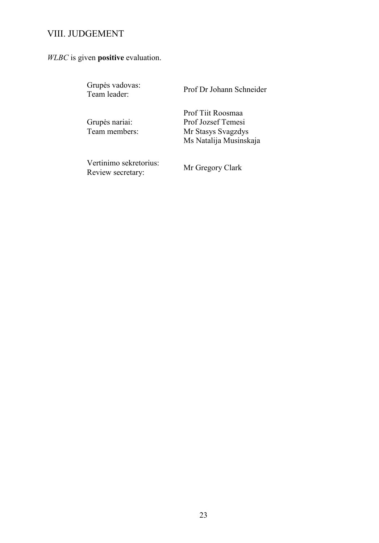## VIII. JUDGEMENT

## *WLBC* is given **positive** evaluation.

| Grupės vadovas:<br>Team leader:             | Prof Dr Johann Schneider                                                                |
|---------------------------------------------|-----------------------------------------------------------------------------------------|
| Grupės nariai:<br>Team members:             | Prof Tijt Roosmaa<br>Prof Jozsef Temesi<br>Mr Stasys Svagzdys<br>Ms Natalija Musinskaja |
| Vertinimo sekretorius:<br>Review secretary: | Mr Gregory Clark                                                                        |